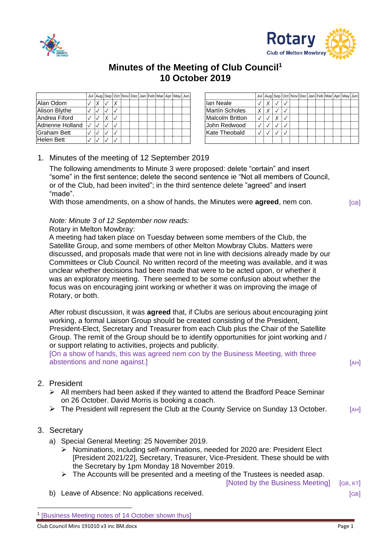



# **Minutes of the Meeting of Club Council<sup>1</sup> 10 October 2019**

|                    |  |  |  |  |  | Jul Aug Sep Oct Nov Dec Jan Feb Mar Apr May Jun |                 |  | Jul Aug Sep Oc |  |
|--------------------|--|--|--|--|--|-------------------------------------------------|-----------------|--|----------------|--|
| Alan Odom          |  |  |  |  |  |                                                 | lan Neale       |  |                |  |
| Alison Blythe      |  |  |  |  |  |                                                 | Martín Scholes  |  |                |  |
| Andrea Fiford      |  |  |  |  |  |                                                 | Malcolm Britton |  |                |  |
| Adrienne Holland V |  |  |  |  |  |                                                 | John Redwood    |  |                |  |
| Graham Bett        |  |  |  |  |  |                                                 | Kate Theobald   |  |                |  |
| <b>Helen Bett</b>  |  |  |  |  |  |                                                 |                 |  |                |  |

|  |  |  | Jul Aug Sep Oct Nov Dec Jan Feb Mar Apr May Jun |  |  |                 |  |  |  |  |  | Jul Aug Sep Oct Nov Dec Jan Feb Mar Apr May Jun |  |
|--|--|--|-------------------------------------------------|--|--|-----------------|--|--|--|--|--|-------------------------------------------------|--|
|  |  |  |                                                 |  |  | lan Neale       |  |  |  |  |  |                                                 |  |
|  |  |  |                                                 |  |  | Martín Scholes  |  |  |  |  |  |                                                 |  |
|  |  |  |                                                 |  |  | Malcolm Britton |  |  |  |  |  |                                                 |  |
|  |  |  |                                                 |  |  | John Redwood    |  |  |  |  |  |                                                 |  |
|  |  |  |                                                 |  |  | Kate Theobald   |  |  |  |  |  |                                                 |  |
|  |  |  |                                                 |  |  |                 |  |  |  |  |  |                                                 |  |

## 1. Minutes of the meeting of 12 September 2019

The following amendments to Minute 3 were proposed: delete "certain" and insert "some" in the first sentence; delete the second sentence ie "Not all members of Council, or of the Club, had been invited"; in the third sentence delete "agreed" and insert "made".

With those amendments, on a show of hands, the Minutes were **agreed**, nem con.  $[GB]$ 

#### *Note: Minute 3 of 12 September now reads:*

#### Rotary in Melton Mowbray:

A meeting had taken place on Tuesday between some members of the Club, the Satellite Group, and some members of other Melton Mowbray Clubs. Matters were discussed, and proposals made that were not in line with decisions already made by our Committees or Club Council. No written record of the meeting was available, and it was unclear whether decisions had been made that were to be acted upon, or whether it was an exploratory meeting. There seemed to be some confusion about whether the focus was on encouraging joint working or whether it was on improving the image of Rotary, or both.

After robust discussion, it was **agreed** that, if Clubs are serious about encouraging joint working, a formal Liaison Group should be created consisting of the President, President-Elect, Secretary and Treasurer from each Club plus the Chair of the Satellite Group. The remit of the Group should be to identify opportunities for joint working and / or support relating to activities, projects and publicity.

[On a show of hands, this was agreed nem con by the Business Meeting, with three abstentions and none against.] **EXECUTE:**  $[AH]$ 

- 2. President
	- $\triangleright$  All members had been asked if they wanted to attend the Bradford Peace Seminar on 26 October. David Morris is booking a coach.
	- ➢ The President will represent the Club at the County Service on Sunday 13 October. [AH]

### 3. Secretary

- a) Special General Meeting: 25 November 2019.
	- ➢ Nominations, including self-nominations, needed for 2020 are: President Elect [President 2021/22], Secretary, Treasurer, Vice-President. These should be with the Secretary by 1pm Monday 18 November 2019.
	- $\triangleright$  The Accounts will be presented and a meeting of the Trustees is needed asap.

[Noted by the Business Meeting] [GB, KT]

b) Leave of Absence: No applications received.  $[GB]$ 

<sup>1</sup> [Business Meeting notes of 14 October shown thus]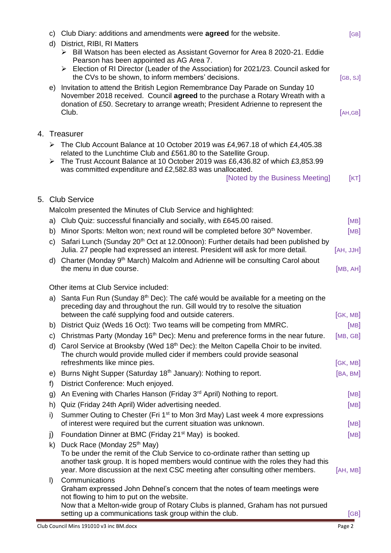| C)       | Club Diary: additions and amendments were agreed for the website.                                                                                                                                                                                                                                  | [GB]             |
|----------|----------------------------------------------------------------------------------------------------------------------------------------------------------------------------------------------------------------------------------------------------------------------------------------------------|------------------|
| d)       | District, RIBI, RI Matters<br>$\triangleright$ Bill Watson has been elected as Assistant Governor for Area 8 2020-21. Eddie                                                                                                                                                                        |                  |
|          | Pearson has been appointed as AG Area 7.<br>Election of RI Director (Leader of the Association) for 2021/23. Council asked for<br>the CVs to be shown, to inform members' decisions.                                                                                                               | [GB, SJ]         |
| e)       | Invitation to attend the British Legion Remembrance Day Parade on Sunday 10<br>November 2018 received. Council agreed to the purchase a Rotary Wreath with a<br>donation of £50. Secretary to arrange wreath; President Adrienne to represent the                                                  |                  |
|          | Club.                                                                                                                                                                                                                                                                                              | [AH, GB]         |
|          | 4. Treasurer                                                                                                                                                                                                                                                                                       |                  |
|          | The Club Account Balance at 10 October 2019 was £4,967.18 of which £4,405.38                                                                                                                                                                                                                       |                  |
| ➤        | related to the Lunchtime Club and £561.80 to the Satellite Group.<br>The Trust Account Balance at 10 October 2019 was £6,436.82 of which £3,853.99                                                                                                                                                 |                  |
|          | was committed expenditure and £2,582.83 was unallocated.<br>[Noted by the Business Meeting]                                                                                                                                                                                                        | [KT]             |
|          | 5. Club Service                                                                                                                                                                                                                                                                                    |                  |
|          | Malcolm presented the Minutes of Club Service and highlighted:                                                                                                                                                                                                                                     |                  |
| a)       | Club Quiz: successful financially and socially, with £645.00 raised.                                                                                                                                                                                                                               | [MB]             |
| b)       | Minor Sports: Melton won; next round will be completed before 30 <sup>th</sup> November.                                                                                                                                                                                                           | [MB]             |
|          | c) Safari Lunch (Sunday 20 <sup>th</sup> Oct at 12.00noon): Further details had been published by<br>Julia. 27 people had expressed an interest. President will ask for more detail.                                                                                                               | [AH, JJH]        |
|          | d) Charter (Monday 9th March) Malcolm and Adrienne will be consulting Carol about<br>the menu in due course.                                                                                                                                                                                       | [MB, AH]         |
|          | Other items at Club Service included:                                                                                                                                                                                                                                                              |                  |
|          | a) Santa Fun Run (Sunday 8 <sup>th</sup> Dec): The café would be available for a meeting on the<br>preceding day and throughout the run. Gill would try to resolve the situation                                                                                                                   |                  |
|          | between the café supplying food and outside caterers.<br>b) District Quiz (Weds 16 Oct): Two teams will be competing from MMRC.                                                                                                                                                                    | [GK, MB]<br>[MB] |
| C)       | Christmas Party (Monday 16 <sup>th</sup> Dec): Menu and preference forms in the near future.                                                                                                                                                                                                       | [MB, GB]         |
| d)       | Carol Service at Brooksby (Wed 18 <sup>th</sup> Dec): the Melton Capella Choir to be invited.<br>The church would provide mulled cider if members could provide seasonal                                                                                                                           |                  |
|          | refreshments like mince pies.                                                                                                                                                                                                                                                                      | [GK, MB]         |
| e)<br>f) | Burns Night Supper (Saturday 18 <sup>th</sup> January): Nothing to report.<br>District Conference: Much enjoyed.                                                                                                                                                                                   | [BA, BM]         |
| g)       | An Evening with Charles Hanson (Friday 3 <sup>rd</sup> April) Nothing to report.                                                                                                                                                                                                                   | [MB]             |
| h)       | Quiz (Friday 24th April) Wider advertising needed.                                                                                                                                                                                                                                                 | [MB]             |
| i)       | Summer Outing to Chester (Fri 1 <sup>st</sup> to Mon 3rd May) Last week 4 more expressions                                                                                                                                                                                                         |                  |
|          | of interest were required but the current situation was unknown.                                                                                                                                                                                                                                   | [MB]             |
| j)       | Foundation Dinner at BMC (Friday 21 <sup>st</sup> May) is booked.                                                                                                                                                                                                                                  | [MB]             |
| k)       | Duck Race (Monday 25 <sup>th</sup> May)<br>To be under the remit of the Club Service to co-ordinate rather than setting up<br>another task group. It is hoped members would continue with the roles they had this<br>year. More discussion at the next CSC meeting after consulting other members. | [AH, MB]         |
| $\vert$  | Communications<br>Graham expressed John Dehnel's concern that the notes of team meetings were                                                                                                                                                                                                      |                  |
|          | not flowing to him to put on the website.<br>Now that a Melton-wide group of Rotary Clubs is planned, Graham has not pursued<br>setting up a communications task group within the club.                                                                                                            | [GB]             |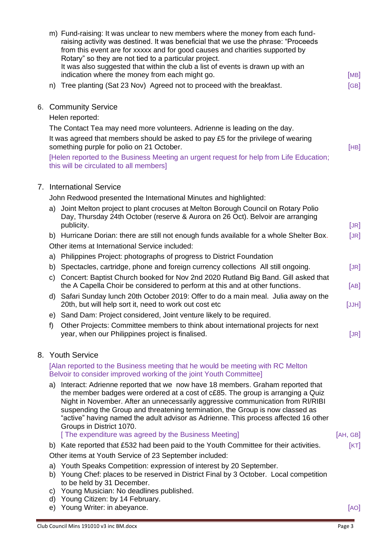| m) Fund-raising: It was unclear to new members where the money from each fund-<br>raising activity was destined. It was beneficial that we use the phrase: "Proceeds<br>from this event are for xxxxx and for good causes and charities supported by<br>Rotary" so they are not tied to a particular project.<br>It was also suggested that within the club a list of events is drawn up with an<br>indication where the money from each might go.                                                                    | [MB]     |
|-----------------------------------------------------------------------------------------------------------------------------------------------------------------------------------------------------------------------------------------------------------------------------------------------------------------------------------------------------------------------------------------------------------------------------------------------------------------------------------------------------------------------|----------|
| n) Tree planting (Sat 23 Nov) Agreed not to proceed with the breakfast.                                                                                                                                                                                                                                                                                                                                                                                                                                               | [GB]     |
| 6. Community Service                                                                                                                                                                                                                                                                                                                                                                                                                                                                                                  |          |
| Helen reported:                                                                                                                                                                                                                                                                                                                                                                                                                                                                                                       |          |
| The Contact Tea may need more volunteers. Adrienne is leading on the day.<br>It was agreed that members should be asked to pay £5 for the privilege of wearing<br>something purple for polio on 21 October.                                                                                                                                                                                                                                                                                                           | [HB]     |
| [Helen reported to the Business Meeting an urgent request for help from Life Education;<br>this will be circulated to all members]                                                                                                                                                                                                                                                                                                                                                                                    |          |
| 7. International Service                                                                                                                                                                                                                                                                                                                                                                                                                                                                                              |          |
| John Redwood presented the International Minutes and highlighted:                                                                                                                                                                                                                                                                                                                                                                                                                                                     |          |
| Joint Melton project to plant crocuses at Melton Borough Council on Rotary Polio<br>a)<br>Day, Thursday 24th October (reserve & Aurora on 26 Oct). Belvoir are arranging<br>publicity.                                                                                                                                                                                                                                                                                                                                | [JR]     |
| b) Hurricane Dorian: there are still not enough funds available for a whole Shelter Box.                                                                                                                                                                                                                                                                                                                                                                                                                              | [JR]     |
| Other items at International Service included:                                                                                                                                                                                                                                                                                                                                                                                                                                                                        |          |
| a) Philippines Project: photographs of progress to District Foundation                                                                                                                                                                                                                                                                                                                                                                                                                                                |          |
| b) Spectacles, cartridge, phone and foreign currency collections All still ongoing.                                                                                                                                                                                                                                                                                                                                                                                                                                   | [JR]     |
| Concert: Baptist Church booked for Nov 2nd 2020 Rutland Big Band. Gill asked that<br>C)<br>the A Capella Choir be considered to perform at this and at other functions.                                                                                                                                                                                                                                                                                                                                               | [AB]     |
| d) Safari Sunday lunch 20th October 2019: Offer to do a main meal. Julia away on the<br>20th, but will help sort it, need to work out cost etc                                                                                                                                                                                                                                                                                                                                                                        | [JJH]    |
| e) Sand Dam: Project considered, Joint venture likely to be required.                                                                                                                                                                                                                                                                                                                                                                                                                                                 |          |
| Other Projects: Committee members to think about international projects for next<br>t)<br>year, when our Philippines project is finalised.                                                                                                                                                                                                                                                                                                                                                                            | [JR]     |
| 8. Youth Service                                                                                                                                                                                                                                                                                                                                                                                                                                                                                                      |          |
| [Alan reported to the Business meeting that he would be meeting with RC Melton<br>Belvoir to consider improved working of the joint Youth Committee]                                                                                                                                                                                                                                                                                                                                                                  |          |
| Interact: Adrienne reported that we now have 18 members. Graham reported that<br>a)<br>the member badges were ordered at a cost of c£85. The group is arranging a Quiz<br>Night in November. After an unnecessarily aggressive communication from RI/RIBI<br>suspending the Group and threatening termination, the Group is now classed as<br>"active" having named the adult advisor as Adrienne. This process affected 16 other<br>Groups in District 1070.<br>[The expenditure was agreed by the Business Meeting] | [AH, GB] |
| b) Kate reported that £532 had been paid to the Youth Committee for their activities.                                                                                                                                                                                                                                                                                                                                                                                                                                 | [KT]     |
| Other items at Youth Service of 23 September included:                                                                                                                                                                                                                                                                                                                                                                                                                                                                |          |
| Youth Speaks Competition: expression of interest by 20 September.<br>a)<br>Young Chef: places to be reserved in District Final by 3 October. Local competition<br>b)                                                                                                                                                                                                                                                                                                                                                  |          |
| to be held by 31 December.<br>Young Musician: No deadlines published.<br>C)                                                                                                                                                                                                                                                                                                                                                                                                                                           |          |
| d) Young Citizen: by 14 February.                                                                                                                                                                                                                                                                                                                                                                                                                                                                                     |          |
| e) Young Writer: in abeyance.                                                                                                                                                                                                                                                                                                                                                                                                                                                                                         | [AO]     |
| Club Council Mins 191010 v3 inc BM.docx                                                                                                                                                                                                                                                                                                                                                                                                                                                                               | Page 3   |
|                                                                                                                                                                                                                                                                                                                                                                                                                                                                                                                       |          |